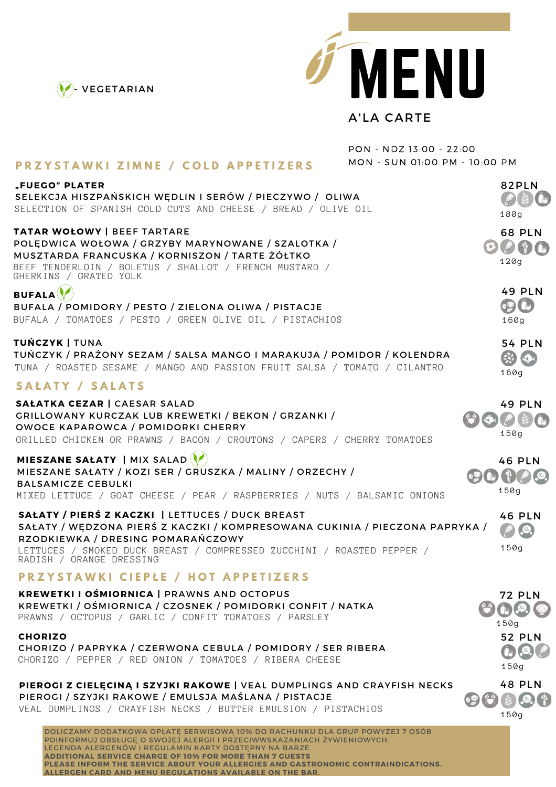



## A'LA CARTE

|                                                                                                                                                                                                                                                                                                                                                                         | PON - NDZ 13:00 - 22:00       |                                                                              |
|-------------------------------------------------------------------------------------------------------------------------------------------------------------------------------------------------------------------------------------------------------------------------------------------------------------------------------------------------------------------------|-------------------------------|------------------------------------------------------------------------------|
| <b>PRZYSTAWKI ZIMNE / COLD APPETIZERS</b>                                                                                                                                                                                                                                                                                                                               | MON - SUN 01:00 PM - 10:00 PM |                                                                              |
| "FUEGO" PLATER<br>SELEKCJA HISZPAŃSKICH WEDLIN I SERÓW / PIECZYWO / OLIWA<br>SELECTION OF SPANISH COLD CUTS AND CHEESE / BREAD / OLIVE OIL                                                                                                                                                                                                                              |                               | 82PLN<br>180g                                                                |
| TATAR WOŁOWY   BEEF TARTARE<br>POLEDWICA WOŁOWA / GRZYBY MARYNOWANE / SZALOTKA /<br>MUSZTARDA FRANCUSKA / KORNISZON / TARTE ŻÓŁTKO<br>BEEF TENDERLOIN / BOLETUS / SHALLOT / FRENCH MUSTARD /<br>GHERKINS / GRATED YOLK                                                                                                                                                  |                               | <b>68 PLN</b><br>$\mathcal{O}(\ell^2)$<br>120g                               |
| <b>BUFALA</b><br>BUFALA / POMIDORY / PESTO / ZIELONA OLIWA / PISTACJE<br>BUFALA / TOMATOES / PESTO / GREEN OLIVE OIL / PISTACHIOS                                                                                                                                                                                                                                       |                               | <b>49 PLN</b><br>$\bullet$<br>160g                                           |
| TUŃCZYK   TUNA<br>TUŃCZYK / PRAŻONY SEZAM / SALSA MANGO I MARAKUJA / POMIDOR / KOLENDRA<br>TUNA / ROASTED SESAME / MANGO AND PASSION FRUIT SALSA / TOMATO / CILANTRO                                                                                                                                                                                                    |                               | <b>54 PLN</b><br>$\sqrt{2}$<br>160g                                          |
| SAŁATY / SALATS                                                                                                                                                                                                                                                                                                                                                         |                               |                                                                              |
| SAŁATKA CEZAR   CAESAR SALAD<br>GRILLOWANY KURCZAK LUB KREWETKI / BEKON / GRZANKI /<br>OWOCE KAPAROWCA / POMIDORKI CHERRY<br>GRILLED CHICKEN OR PRAWNS / BACON / CROUTONS / CAPERS / CHERRY TOMATOES                                                                                                                                                                    |                               | <b>49 PLN</b><br>$\mathbf{Q}$<br>150g                                        |
| MIESZANE SAŁATY   MIX SALAD<br>MIESZANE SAŁATY / KOZI SER / GRUSZKA / MALINY / ORZECHY /<br><b>BALSAMICZE CEBULKI</b><br>MIXED LETTUCE / GOAT CHEESE / PEAR / RASPBERRIES / NUTS / BALSAMIC ONIONS                                                                                                                                                                      |                               | <b>46 PLN</b><br>\$ 0.0<br>150q                                              |
| SAŁATY / PIERŚ Z KACZKI   LETTUCES / DUCK BREAST<br>SAŁATY / WEDZONA PIERŚ Z KACZKI / KOMPRESOWANA CUKINIA / PIECZONA PAPRYKA /<br>RZODKIEWKA / DRESING POMARAŃCZOWY<br>LETTUCES / SMOKED DUCK BREAST / COMPRESSED ZUCCHINI / ROASTED PEPPER /<br>RADISH / ORANGE DRESSING                                                                                              |                               | <b>46 PLN</b><br>$\left( \begin{matrix} 0 \\ 0 \end{matrix} \right)$<br>150g |
| <b>PRZYSTAWKI CIEPŁE / HOT APPETIZERS</b>                                                                                                                                                                                                                                                                                                                               |                               |                                                                              |
| <b>KREWETKI I OŚMIORNICA   PRAWNS AND OCTOPUS</b><br>KREWETKI / OŚMIORNICA / CZOSNEK / POMIDORKI CONFIT / NATKA<br>PRAWNS / OCTOPUS / GARLIC / CONFIT TOMATOES / PARSLEY                                                                                                                                                                                                |                               | <b>72 PLN</b><br>150g                                                        |
| <b>CHORIZO</b><br>CHORIZO / PAPRYKA / CZERWONA CEBULA / POMIDORY / SER RIBERA<br>CHORIZO / PEPPER / RED ONION / TOMATOES / RIBERA CHEESE                                                                                                                                                                                                                                |                               | <b>52 PLN</b><br>(SO <sub>2</sub> )<br>150g                                  |
| PIEROGI Z CIELĘCINĄ I SZYJKI RAKOWE   VEAL DUMPLINGS AND CRAYFISH NECKS<br>PIEROGI / SZYJKI RAKOWE / EMULSJA MAŚLANA / PISTACJE<br>VEAL DUMPLINGS / CRAYFISH NECKS / BUTTER EMULSION / PISTACHIOS                                                                                                                                                                       |                               | <b>48 PLN</b><br>150g                                                        |
| DOLICZAMY DODATKOWA OPŁATE SERWISOWA 10% DO RACHUNKU DLA GRUP POWYŻEJ 7 OSÓB<br>POINFORMUJ OBSŁUGE O SWOJEJ ALERGII I PRZECIWWSKAZANIACH ŻYWIENIOWYCH.<br>LEGENDA ALERGENÓW I REGULAMIN KARTY DOSTEPNY NA BARZE.<br><b>ADDITIONAL SERVICE CHARGE OF 10% FOR MORE THAN 7 GUESTS</b><br>PLEASE INFORM THE SERVICE ABOUT YOUR ALLERGIES AND GASTRONOMIC CONTRAINDICATIONS. |                               |                                                                              |

**ALLERGEN CARD AND MENU REGULATIONS AVAILABLE ON THE BAR.**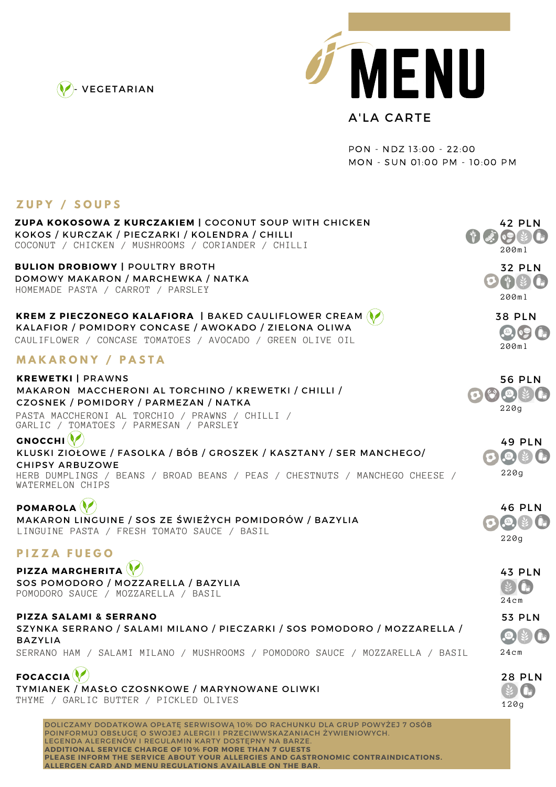



PON - NDZ 13:00 - 22:00 MON - SUN 01:00 PM - 10:00 PM

## **Z U P Y / S O U P S**

| <b>ZUPA KOKOSOWA Z KURCZAKIEM   COCONUT SOUP WITH CHICKEN</b><br>KOKOS / KURCZAK / PIECZARKI / KOLENDRA / CHILLI<br>COCONUT / CHICKEN / MUSHROOMS / CORIANDER / CHILLI                                                                                                             | 42 PLN<br>200ml                                           |
|------------------------------------------------------------------------------------------------------------------------------------------------------------------------------------------------------------------------------------------------------------------------------------|-----------------------------------------------------------|
| <b>BULION DROBIOWY   POULTRY BROTH</b><br>DOMOWY MAKARON / MARCHEWKA / NATKA<br>HOMEMADE PASTA / CARROT / PARSLEY                                                                                                                                                                  | <b>32 PLN</b><br>$\bigcirc$<br>200ml                      |
| KREM Z PIECZONEGO KALAFIORA   BAKED CAULIFLOWER CREAM (<br>KALAFIOR / POMIDORY CONCASE / AWOKADO / ZIELONA OLIWA<br>CAULIFLOWER / CONCASE TOMATOES / AVOCADO / GREEN OLIVE OIL                                                                                                     | <b>38 PLN</b><br>200ml                                    |
| <b>MAKARONY / PASTA</b>                                                                                                                                                                                                                                                            |                                                           |
| <b>KREWETKI   PRAWNS</b><br>MAKARON MACCHERONI AL TORCHINO / KREWETKI / CHILLI /<br>CZOSNEK / POMIDORY / PARMEZAN / NATKA<br>PASTA MACCHERONI AL TORCHIO / PRAWNS / CHILLI /<br>GARLIC / TOMATOES / PARMESAN / PARSLEY                                                             | <b>56 PLN</b><br>$\bigcirc$ $\bigcirc$ $\bigcirc$<br>220q |
| <b>GNOCCHI</b><br>KLUSKI ZIOŁOWE / FASOLKA / BÓB / GROSZEK / KASZTANY / SER MANCHEGO/<br><b>CHIPSY ARBUZOWE</b><br>HERB DUMPLINGS / BEANS / BROAD BEANS / PEAS / CHESTNUTS / MANCHEGO CHEESE /<br>WATERMELON CHIPS                                                                 | <b>49 PLN</b><br>SO <sub>2</sub><br>220g                  |
| <b>POMAROLA</b><br>MAKARON LINGUINE / SOS ZE ŚWIEŻYCH POMIDORÓW / BAZYLIA<br>LINGUINE PASTA / FRESH TOMATO SAUCE / BASIL                                                                                                                                                           | <b>46 PLN</b><br>SO <sub>2</sub><br>220g                  |
| <b>PIZZA FUEGO</b>                                                                                                                                                                                                                                                                 |                                                           |
| <b>PIZZA MARGHERITA</b><br>SOS POMODORO / MOZZARELLA / BAZYLIA<br>POMODORO SAUCE / MOZZARELLA / BASIL                                                                                                                                                                              | <b>43 PLN</b><br>24 c m                                   |
| <b>PIZZA SALAMI &amp; SERRANO</b><br>SZYNKA SERRANO / SALAMI MILANO / PIECZARKI / SOS POMODORO / MOZZARELLA /<br><b>BAZYLIA</b><br>SERRANO HAM / SALAMI MILANO / MUSHROOMS / POMODORO SAUCE / MOZZARELLA / BASIL                                                                   | <b>53 PLN</b><br>(SO <sub>2</sub> )<br>24cm               |
| <b>FOCACCIA</b><br>TYMIANEK / MASŁO CZOSNKOWE / MARYNOWANE OLIWKI<br>THYME / GARLIC BUTTER / PICKLED OLIVES                                                                                                                                                                        | <b>28 PLN</b><br>120g                                     |
| DOLICZAMY DODATKOWA OPŁATĘ SERWISOWĄ 10% DO RACHUNKU DLA GRUP POWYŻEJ 7 OSÓB<br>POINFORMUJ OBSŁUGĘ O SWOJEJ ALERGII I PRZECIWWSKAZANIACH ŻYWIENIOWYCH.<br>LEGENDA ALERGENÓW I REGULAMIN KARTY DOSTĘPNY NA BARZE.<br><b>ADDITIONAL SERVICE CHARGE OF 10% FOR MORE THAN 7 GUESTS</b> |                                                           |

**PLEASE INFORM THE SERVICE ABOUT YOUR ALLERGIES AND GASTRONOMIC CONTRAINDICATIONS.**

**ALLERGEN CARD AND MENU REGULATIONS AVAILABLE ON THE BAR.**